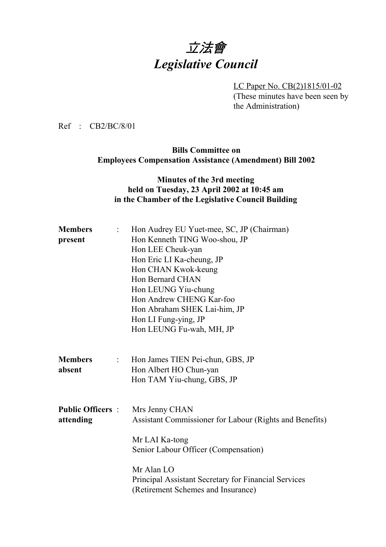# 立法會 *Legislative Council*

LC Paper No. CB(2)1815/01-02 (These minutes have been seen by the Administration)

Ref : CB2/BC/8/01

#### **Bills Committee on Employees Compensation Assistance (Amendment) Bill 2002**

#### **Minutes of the 3rd meeting held on Tuesday, 23 April 2002 at 10:45 am in the Chamber of the Legislative Council Building**

| <b>Members</b><br>$\ddot{\cdot}$                | Hon Audrey EU Yuet-mee, SC, JP (Chairman)                   |
|-------------------------------------------------|-------------------------------------------------------------|
| present                                         | Hon Kenneth TING Woo-shou, JP                               |
|                                                 | Hon LEE Cheuk-yan                                           |
|                                                 | Hon Eric LI Ka-cheung, JP                                   |
|                                                 | Hon CHAN Kwok-keung                                         |
|                                                 | Hon Bernard CHAN                                            |
|                                                 | Hon LEUNG Yiu-chung                                         |
|                                                 | Hon Andrew CHENG Kar-foo                                    |
|                                                 | Hon Abraham SHEK Lai-him, JP                                |
|                                                 | Hon LI Fung-ying, JP                                        |
|                                                 | Hon LEUNG Fu-wah, MH, JP                                    |
|                                                 |                                                             |
| <b>Members</b><br>$\mathbb{Z}^{\mathbb{Z}^n}$ . | Hon James TIEN Pei-chun, GBS, JP                            |
| absent                                          | Hon Albert HO Chun-yan                                      |
|                                                 | Hon TAM Yiu-chung, GBS, JP                                  |
|                                                 |                                                             |
| <b>Public Officers</b> :                        | Mrs Jenny CHAN                                              |
| attending                                       | Assistant Commissioner for Labour (Rights and Benefits)     |
|                                                 | Mr LAI Ka-tong                                              |
|                                                 | Senior Labour Officer (Compensation)                        |
|                                                 | Mr Alan LO                                                  |
|                                                 | <b>Principal Assistant Secretary for Financial Services</b> |
|                                                 | (Retirement Schemes and Insurance)                          |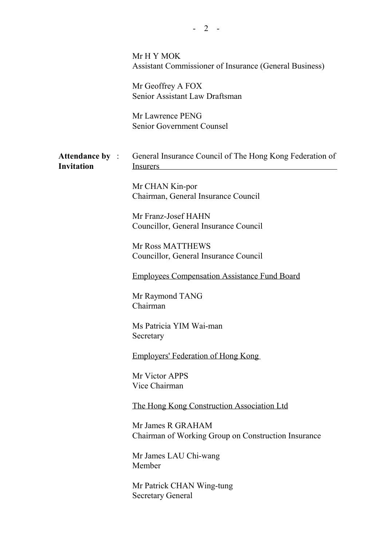|                   | Mr H Y MOK<br>Assistant Commissioner of Insurance (General Business)                               |
|-------------------|----------------------------------------------------------------------------------------------------|
|                   | Mr Geoffrey A FOX<br>Senior Assistant Law Draftsman                                                |
|                   | Mr Lawrence PENG<br>Senior Government Counsel                                                      |
| <b>Invitation</b> | <b>Attendance by :</b> General Insurance Council of The Hong Kong Federation of<br><b>Insurers</b> |
|                   | Mr CHAN Kin-por<br>Chairman, General Insurance Council                                             |
|                   | Mr Franz-Josef HAHN<br>Councillor, General Insurance Council                                       |
|                   | Mr Ross MATTHEWS<br>Councillor, General Insurance Council                                          |
|                   | <b>Employees Compensation Assistance Fund Board</b>                                                |
|                   | Mr Raymond TANG<br>Chairman                                                                        |
|                   | Ms Patricia YIM Wai-man<br>Secretary                                                               |
|                   | <b>Employers' Federation of Hong Kong</b>                                                          |
|                   | Mr Victor APPS<br>Vice Chairman                                                                    |
|                   | <u>The Hong Kong Construction Association Ltd</u>                                                  |
|                   | Mr James R GRAHAM<br>Chairman of Working Group on Construction Insurance                           |
|                   | Mr James LAU Chi-wang<br>Member                                                                    |
|                   | Mr Patrick CHAN Wing-tung<br><b>Secretary General</b>                                              |
|                   |                                                                                                    |

 $- 2 -$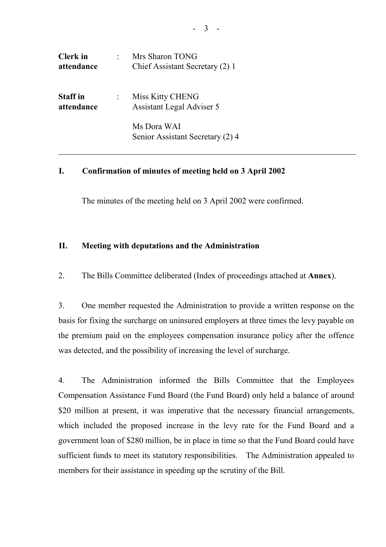| <b>Clerk</b> in<br>attendance | Mrs Sharon TONG<br>Chief Assistant Secretary (2) 1   |
|-------------------------------|------------------------------------------------------|
| <b>Staff</b> in<br>attendance | Miss Kitty CHENG<br><b>Assistant Legal Adviser 5</b> |
|                               | Ms Dora WAI<br>Senior Assistant Secretary (2) 4      |

#### **I. Confirmation of minutes of meeting held on 3 April 2002**

The minutes of the meeting held on 3 April 2002 were confirmed.

#### **II. Meeting with deputations and the Administration**

2. The Bills Committee deliberated (Index of proceedings attached at **Annex**).

3. One member requested the Administration to provide a written response on the basis for fixing the surcharge on uninsured employers at three times the levy payable on the premium paid on the employees compensation insurance policy after the offence was detected, and the possibility of increasing the level of surcharge.

4. The Administration informed the Bills Committee that the Employees Compensation Assistance Fund Board (the Fund Board) only held a balance of around \$20 million at present, it was imperative that the necessary financial arrangements, which included the proposed increase in the levy rate for the Fund Board and a government loan of \$280 million, be in place in time so that the Fund Board could have sufficient funds to meet its statutory responsibilities. The Administration appealed to members for their assistance in speeding up the scrutiny of the Bill.

- 3 -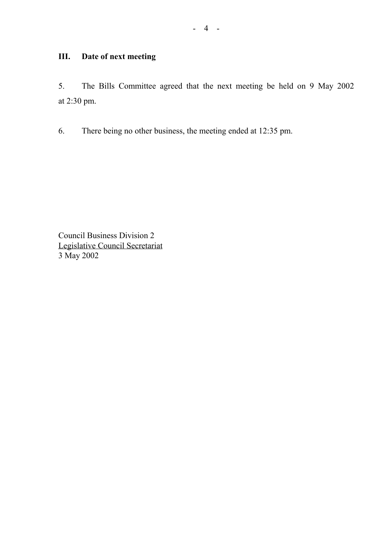## **III. Date of next meeting**

5. The Bills Committee agreed that the next meeting be held on 9 May 2002 at 2:30 pm.

6. There being no other business, the meeting ended at 12:35 pm.

Council Business Division 2 Legislative Council Secretariat 3 May 2002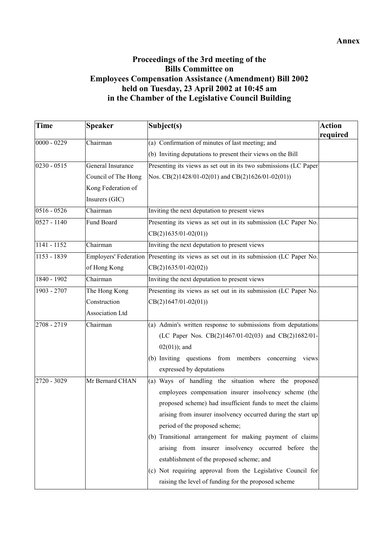### **Proceedings of the 3rd meeting of the Bills Committee on Employees Compensation Assistance (Amendment) Bill 2002 held on Tuesday, 23 April 2002 at 10:45 am in the Chamber of the Legislative Council Building**

| Time          | <b>Speaker</b>               | Subject(s)                                                       | <b>Action</b> |
|---------------|------------------------------|------------------------------------------------------------------|---------------|
| $0000 - 0229$ | Chairman                     | (a) Confirmation of minutes of last meeting; and                 | required      |
|               |                              | (b) Inviting deputations to present their views on the Bill      |               |
| $0230 - 0515$ | General Insurance            |                                                                  |               |
|               |                              | Presenting its views as set out in its two submissions (LC Paper |               |
|               | Council of The Hong          | Nos. CB(2)1428/01-02(01) and CB(2)1626/01-02(01))                |               |
|               | Kong Federation of           |                                                                  |               |
|               | Insurers (GIC)               |                                                                  |               |
| $0516 - 0526$ | Chairman                     | Inviting the next deputation to present views                    |               |
| $0527 - 1140$ | <b>Fund Board</b>            | Presenting its views as set out in its submission (LC Paper No.  |               |
|               |                              | $CB(2)1635/01-02(01))$                                           |               |
| $1141 - 1152$ | Chairman                     | Inviting the next deputation to present views                    |               |
| $1153 - 1839$ | <b>Employers' Federation</b> | Presenting its views as set out in its submission (LC Paper No.  |               |
|               | of Hong Kong                 | $CB(2)1635/01-02(02))$                                           |               |
| 1840 - 1902   | Chairman                     | Inviting the next deputation to present views                    |               |
| 1903 - 2707   | The Hong Kong                | Presenting its views as set out in its submission (LC Paper No.  |               |
|               | Construction                 | $CB(2)1647/01-02(01))$                                           |               |
|               | Association Ltd              |                                                                  |               |
| 2708 - 2719   | Chairman                     | (a) Admin's written response to submissions from deputations     |               |
|               |                              | (LC Paper Nos. CB(2)1467/01-02(03) and CB(2)1682/01-             |               |
|               |                              | $02(01)$ ; and                                                   |               |
|               |                              | (b) Inviting questions from members<br>concerning views          |               |
|               |                              | expressed by deputations                                         |               |
| 2720 - 3029   | Mr Bernard CHAN              | (a) Ways of handling the situation where the proposed            |               |
|               |                              | employees compensation insurer insolvency scheme (the            |               |
|               |                              | proposed scheme) had insufficient funds to meet the claims       |               |
|               |                              | arising from insurer insolvency occurred during the start up     |               |
|               |                              | period of the proposed scheme;                                   |               |
|               |                              | (b) Transitional arrangement for making payment of claims        |               |
|               |                              | arising from insurer insolvency occurred before the              |               |
|               |                              | establishment of the proposed scheme; and                        |               |
|               |                              | (c) Not requiring approval from the Legislative Council for      |               |
|               |                              | raising the level of funding for the proposed scheme             |               |
|               |                              |                                                                  |               |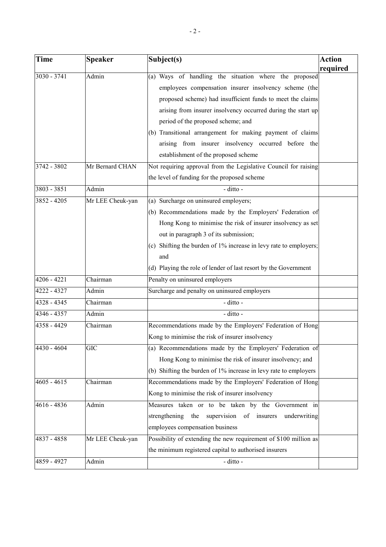| <b>Time</b>   | <b>Speaker</b>   | Subject(s)                                                                                                                                                                                                                                                                                                                                                                                                                                     | Action<br>required |
|---------------|------------------|------------------------------------------------------------------------------------------------------------------------------------------------------------------------------------------------------------------------------------------------------------------------------------------------------------------------------------------------------------------------------------------------------------------------------------------------|--------------------|
| 3030 - 3741   | Admin            | (a) Ways of handling the situation where the proposed<br>employees compensation insurer insolvency scheme (the<br>proposed scheme) had insufficient funds to meet the claims<br>arising from insurer insolvency occurred during the start up<br>period of the proposed scheme; and<br>(b) Transitional arrangement for making payment of claims<br>arising from insurer insolvency occurred before the<br>establishment of the proposed scheme |                    |
| 3742 - 3802   | Mr Bernard CHAN  | Not requiring approval from the Legislative Council for raising<br>the level of funding for the proposed scheme                                                                                                                                                                                                                                                                                                                                |                    |
| 3803 - 3851   | Admin            | - ditto -                                                                                                                                                                                                                                                                                                                                                                                                                                      |                    |
| 3852 - 4205   | Mr LEE Cheuk-yan | (a) Surcharge on uninsured employers;<br>(b) Recommendations made by the Employers' Federation of<br>Hong Kong to minimise the risk of insurer insolvency as set<br>out in paragraph 3 of its submission;<br>(c) Shifting the burden of 1% increase in levy rate to employers;<br>and<br>(d) Playing the role of lender of last resort by the Government                                                                                       |                    |
| 4206 - 4221   | Chairman         | Penalty on uninsured employers                                                                                                                                                                                                                                                                                                                                                                                                                 |                    |
| 4222 - 4327   | Admin            | Surcharge and penalty on uninsured employers                                                                                                                                                                                                                                                                                                                                                                                                   |                    |
| 4328 - 4345   | Chairman         | - ditto -                                                                                                                                                                                                                                                                                                                                                                                                                                      |                    |
| $4346 - 4357$ | Admin            | - ditto -                                                                                                                                                                                                                                                                                                                                                                                                                                      |                    |
| 4358 - 4429   | Chairman         | Recommendations made by the Employers' Federation of Hong<br>Kong to minimise the risk of insurer insolvency                                                                                                                                                                                                                                                                                                                                   |                    |
| 4430 - 4604   | GIC              | (a) Recommendations made by the Employers' Federation of<br>Hong Kong to minimise the risk of insurer insolvency; and<br>(b) Shifting the burden of 1% increase in levy rate to employers                                                                                                                                                                                                                                                      |                    |
| $4605 - 4615$ | Chairman         | Recommendations made by the Employers' Federation of Hong<br>Kong to minimise the risk of insurer insolvency                                                                                                                                                                                                                                                                                                                                   |                    |
| 4616 - 4836   | Admin            | Measures taken or to be taken by the Government in<br>strengthening<br>the<br>supervision of insurers<br>underwriting<br>employees compensation business                                                                                                                                                                                                                                                                                       |                    |
| 4837 - 4858   | Mr LEE Cheuk-yan | Possibility of extending the new requirement of \$100 million as<br>the minimum registered capital to authorised insurers                                                                                                                                                                                                                                                                                                                      |                    |
| 4859 - 4927   | Admin            | - ditto -                                                                                                                                                                                                                                                                                                                                                                                                                                      |                    |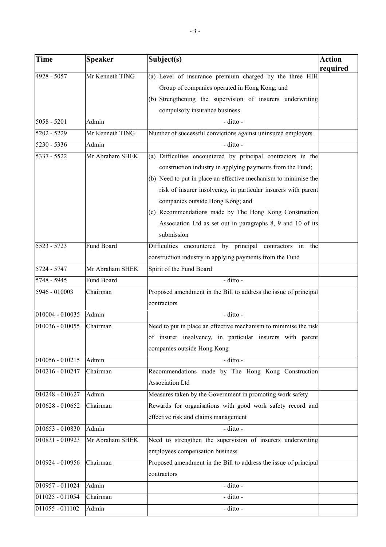| <b>Time</b>       | <b>Speaker</b>  | Subject(s)                                                       | <b>Action</b><br>required |
|-------------------|-----------------|------------------------------------------------------------------|---------------------------|
| 4928 - 5057       | Mr Kenneth TING | (a) Level of insurance premium charged by the three HIH          |                           |
|                   |                 | Group of companies operated in Hong Kong; and                    |                           |
|                   |                 | (b) Strengthening the supervision of insurers underwriting       |                           |
|                   |                 | compulsory insurance business                                    |                           |
| $5058 - 5201$     | Admin           | - ditto -                                                        |                           |
| 5202 - 5229       | Mr Kenneth TING | Number of successful convictions against uninsured employers     |                           |
| $5230 - 5336$     | Admin           | - ditto -                                                        |                           |
| 5337 - 5522       | Mr Abraham SHEK | (a) Difficulties encountered by principal contractors in the     |                           |
|                   |                 | construction industry in applying payments from the Fund;        |                           |
|                   |                 | (b) Need to put in place an effective mechanism to minimise the  |                           |
|                   |                 | risk of insurer insolvency, in particular insurers with parent   |                           |
|                   |                 | companies outside Hong Kong; and                                 |                           |
|                   |                 | (c) Recommendations made by The Hong Kong Construction           |                           |
|                   |                 | Association Ltd as set out in paragraphs 8, 9 and 10 of its      |                           |
|                   |                 | submission                                                       |                           |
| $5523 - 5723$     | Fund Board      | Difficulties encountered by principal contractors in the         |                           |
|                   |                 | construction industry in applying payments from the Fund         |                           |
| 5724 - 5747       | Mr Abraham SHEK | Spirit of the Fund Board                                         |                           |
| 5748 - 5945       | Fund Board      | - ditto -                                                        |                           |
| 5946 - 010003     | Chairman        | Proposed amendment in the Bill to address the issue of principal |                           |
|                   |                 | contractors                                                      |                           |
| 010004 - 010035   | Admin           | - ditto -                                                        |                           |
| 010036 - 010055   | Chairman        | Need to put in place an effective mechanism to minimise the risk |                           |
|                   |                 | of insurer insolvency, in particular insurers with parent        |                           |
|                   |                 | companies outside Hong Kong                                      |                           |
| $010056 - 010215$ | Admin           | - ditto -                                                        |                           |
| 010216 - 010247   | Chairman        | Recommendations made by The Hong Kong Construction               |                           |
|                   |                 | Association Ltd                                                  |                           |
| 010248 - 010627   | Admin           | Measures taken by the Government in promoting work safety        |                           |
| 010628 - 010652   | Chairman        | Rewards for organisations with good work safety record and       |                           |
|                   |                 | effective risk and claims management                             |                           |
| 010653 - 010830   | Admin           | - ditto -                                                        |                           |
| 010831 - 010923   | Mr Abraham SHEK | Need to strengthen the supervision of insurers underwriting      |                           |
|                   |                 | employees compensation business                                  |                           |
| 010924 - 010956   | Chairman        | Proposed amendment in the Bill to address the issue of principal |                           |
|                   |                 | contractors                                                      |                           |
| 010957 - 011024   | Admin           | - ditto -                                                        |                           |
| 011025 - 011054   | Chairman        | - ditto -                                                        |                           |
| 011055 - 011102   | Admin           | - ditto -                                                        |                           |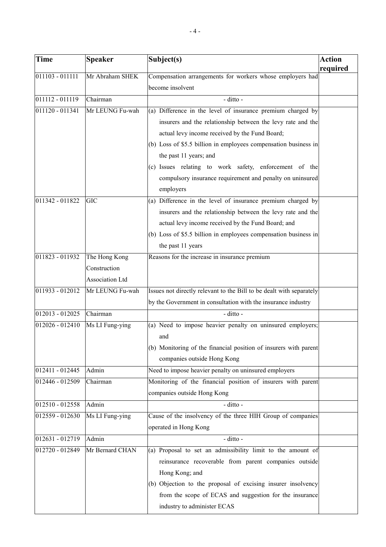| Time            | <b>Speaker</b>  | Subject(s)                                                           | Action<br>required |
|-----------------|-----------------|----------------------------------------------------------------------|--------------------|
| 011103 - 011111 | Mr Abraham SHEK | Compensation arrangements for workers whose employers had            |                    |
|                 |                 | become insolvent                                                     |                    |
| 011112 - 011119 | Chairman        | - ditto -                                                            |                    |
| 011120 - 011341 | Mr LEUNG Fu-wah | (a) Difference in the level of insurance premium charged by          |                    |
|                 |                 | insurers and the relationship between the levy rate and the          |                    |
|                 |                 | actual levy income received by the Fund Board;                       |                    |
|                 |                 | (b) Loss of \$5.5 billion in employees compensation business in      |                    |
|                 |                 | the past 11 years; and                                               |                    |
|                 |                 | (c) Issues relating to work safety, enforcement of the               |                    |
|                 |                 | compulsory insurance requirement and penalty on uninsured            |                    |
|                 |                 | employers                                                            |                    |
| 011342 - 011822 | <b>GIC</b>      | (a) Difference in the level of insurance premium charged by          |                    |
|                 |                 | insurers and the relationship between the levy rate and the          |                    |
|                 |                 | actual levy income received by the Fund Board; and                   |                    |
|                 |                 | (b) Loss of \$5.5 billion in employees compensation business in      |                    |
|                 |                 | the past 11 years                                                    |                    |
| 011823 - 011932 | The Hong Kong   | Reasons for the increase in insurance premium                        |                    |
|                 | Construction    |                                                                      |                    |
|                 | Association Ltd |                                                                      |                    |
| 011933 - 012012 | Mr LEUNG Fu-wah | Issues not directly relevant to the Bill to be dealt with separately |                    |
|                 |                 | by the Government in consultation with the insurance industry        |                    |
| 012013 - 012025 | Chairman        | - ditto -                                                            |                    |
| 012026 - 012410 | Ms LI Fung-ying | (a) Need to impose heavier penalty on uninsured employers;           |                    |
|                 |                 | and                                                                  |                    |
|                 |                 | (b) Monitoring of the financial position of insurers with parent     |                    |
|                 |                 | companies outside Hong Kong                                          |                    |
| 012411 - 012445 | Admin           | Need to impose heavier penalty on uninsured employers                |                    |
| 012446 - 012509 | Chairman        | Monitoring of the financial position of insurers with parent         |                    |
|                 |                 | companies outside Hong Kong                                          |                    |
| 012510 - 012558 | Admin           | - ditto -                                                            |                    |
| 012559 - 012630 | Ms LI Fung-ying | Cause of the insolvency of the three HIH Group of companies          |                    |
|                 |                 | operated in Hong Kong                                                |                    |
| 012631 - 012719 | Admin           | - ditto -                                                            |                    |
| 012720 - 012849 | Mr Bernard CHAN | (a) Proposal to set an admissibility limit to the amount of          |                    |
|                 |                 | reinsurance recoverable from parent companies outside                |                    |
|                 |                 | Hong Kong; and                                                       |                    |
|                 |                 | (b) Objection to the proposal of excising insurer insolvency         |                    |
|                 |                 | from the scope of ECAS and suggestion for the insurance              |                    |
|                 |                 | industry to administer ECAS                                          |                    |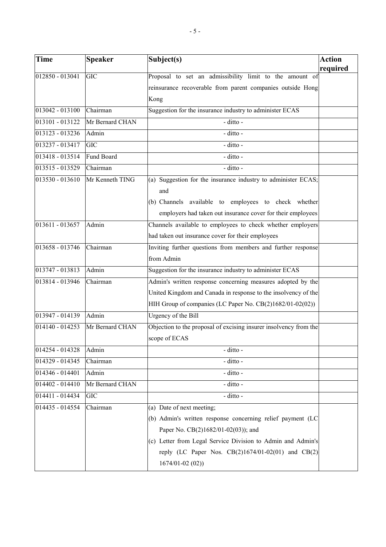| <b>Time</b>       | <b>Speaker</b>  | Subject(s)                                                        | <b>Action</b> |
|-------------------|-----------------|-------------------------------------------------------------------|---------------|
| $012850 - 013041$ | <b>GIC</b>      | Proposal to set an admissibility limit to the amount of           | required      |
|                   |                 | reinsurance recoverable from parent companies outside Hong        |               |
|                   |                 | Kong                                                              |               |
| 013042 - 013100   | Chairman        | Suggestion for the insurance industry to administer ECAS          |               |
| 013101 - 013122   | Mr Bernard CHAN | - ditto -                                                         |               |
| 013123 - 013236   | Admin           | - ditto -                                                         |               |
| 013237 - 013417   | <b>GIC</b>      | - ditto -                                                         |               |
| 013418 - 013514   | Fund Board      | - ditto -                                                         |               |
| 013515 - 013529   | Chairman        | - ditto -                                                         |               |
| 013530 - 013610   | Mr Kenneth TING | (a) Suggestion for the insurance industry to administer ECAS;     |               |
|                   |                 | and                                                               |               |
|                   |                 | (b) Channels available to employees to check whether              |               |
|                   |                 | employers had taken out insurance cover for their employees       |               |
| $013611 - 013657$ | Admin           | Channels available to employees to check whether employers        |               |
|                   |                 | had taken out insurance cover for their employees                 |               |
| 013658 - 013746   | Chairman        | Inviting further questions from members and further response      |               |
|                   |                 | from Admin                                                        |               |
| 013747 - 013813   | Admin           | Suggestion for the insurance industry to administer ECAS          |               |
| 013814 - 013946   | Chairman        | Admin's written response concerning measures adopted by the       |               |
|                   |                 | United Kingdom and Canada in response to the insolvency of the    |               |
|                   |                 | HIH Group of companies (LC Paper No. CB(2)1682/01-02(02))         |               |
| 013947 - 014139   | Admin           | Urgency of the Bill                                               |               |
| 014140 - 014253   | Mr Bernard CHAN | Objection to the proposal of excising insurer insolvency from the |               |
|                   |                 | scope of ECAS                                                     |               |
| 014254 - 014328   | Admin           | - ditto -                                                         |               |
| 014329 - 014345   | Chairman        | - ditto -                                                         |               |
| 014346 - 014401   | Admin           | - ditto -                                                         |               |
| 014402 - 014410   | Mr Bernard CHAN | - ditto -                                                         |               |
| 014411 - 014434   | <b>GIC</b>      | - ditto -                                                         |               |
| 014435 - 014554   | Chairman        | (a) Date of next meeting;                                         |               |
|                   |                 | (b) Admin's written response concerning relief payment (LC        |               |
|                   |                 | Paper No. CB(2)1682/01-02(03)); and                               |               |
|                   |                 | (c) Letter from Legal Service Division to Admin and Admin's       |               |
|                   |                 | reply (LC Paper Nos. CB(2)1674/01-02(01) and CB(2)                |               |
|                   |                 | $1674/01 - 02(02)$                                                |               |